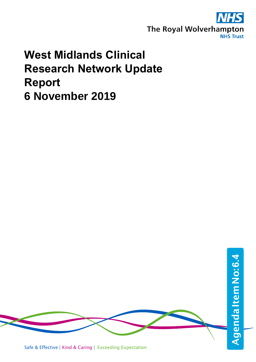

# **West Midlands Clinical Research Network Update Report 6 November 2019**

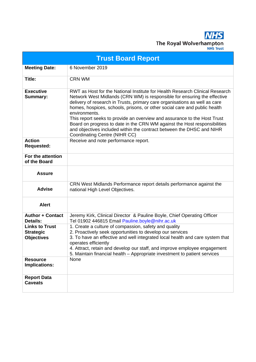The Royal Wolverhampton **NHS Trust** 

**Trust Board Report Meeting Date:** 6 November 2019 **Title:** CRN WM **Executive Summary:** RWT as Host for the National Institute for Health Research Clinical Research Network West Midlands (CRN WM) is responsible for ensuring the effective delivery of research in Trusts, primary care organisations as well as care homes, hospices, schools, prisons, or other social care and public health environments. This report seeks to provide an overview and assurance to the Host Trust Board on progress to date in the CRN WM against the Host responsibilities and objectives included within the contract between the DHSC and NIHR Coordinating Centre (NIHR CC) **Action Requested:**  Receive and note performance report. **For the attention of the Board Assure Advise** CRN West Midlands Performance report details performance against the national High Level Objectives. **Alert Author + Contact Details:** Jeremy Kirk, Clinical Director & Pauline Boyle, Chief Operating Officer Tel 01902 446815 Email Pauline.boyle@nihr.ac.uk **Links to Trust Strategic Objectives** 1. Create a culture of compassion, safety and quality 2. Proactively seek opportunities to develop our services 3. To have an effective and well integrated local health and care system that operates efficiently 4. Attract, retain and develop our staff, and improve employee engagement 5. Maintain financial health – Appropriate investment to patient services **Resource Implications:** None **Report Data Caveats**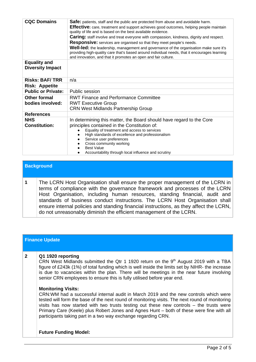| <b>CQC Domains</b>                             | <b>Safe:</b> patients, staff and the public are protected from abuse and avoidable harm.<br><b>Effective:</b> care, treatment and support achieves good outcomes, helping people maintain<br>quality of life and is based on the best available evidence.<br>Caring: staff involve and treat everyone with compassion, kindness, dignity and respect.<br><b>Responsive:</b> services are organised so that they meet people's needs.<br>Well-led: the leadership, management and governance of the organisation make sure it's<br>providing high-quality care that's based around individual needs, that it encourages learning<br>and innovation, and that it promotes an open and fair culture. |  |  |  |
|------------------------------------------------|---------------------------------------------------------------------------------------------------------------------------------------------------------------------------------------------------------------------------------------------------------------------------------------------------------------------------------------------------------------------------------------------------------------------------------------------------------------------------------------------------------------------------------------------------------------------------------------------------------------------------------------------------------------------------------------------------|--|--|--|
| <b>Equality and</b><br><b>Diversity Impact</b> |                                                                                                                                                                                                                                                                                                                                                                                                                                                                                                                                                                                                                                                                                                   |  |  |  |
| <b>Risks: BAF/TRR</b>                          | n/a                                                                                                                                                                                                                                                                                                                                                                                                                                                                                                                                                                                                                                                                                               |  |  |  |
| <b>Risk: Appetite</b>                          |                                                                                                                                                                                                                                                                                                                                                                                                                                                                                                                                                                                                                                                                                                   |  |  |  |
| <b>Public or Private:</b>                      | Public session                                                                                                                                                                                                                                                                                                                                                                                                                                                                                                                                                                                                                                                                                    |  |  |  |
| <b>Other formal</b>                            | <b>RWT Finance and Performance Committee</b>                                                                                                                                                                                                                                                                                                                                                                                                                                                                                                                                                                                                                                                      |  |  |  |
| bodies involved:                               | <b>RWT Executive Group</b>                                                                                                                                                                                                                                                                                                                                                                                                                                                                                                                                                                                                                                                                        |  |  |  |
|                                                | <b>CRN West Midlands Partnership Group</b>                                                                                                                                                                                                                                                                                                                                                                                                                                                                                                                                                                                                                                                        |  |  |  |
| <b>References</b>                              |                                                                                                                                                                                                                                                                                                                                                                                                                                                                                                                                                                                                                                                                                                   |  |  |  |
| <b>NHS</b><br><b>Constitution:</b>             | In determining this matter, the Board should have regard to the Core<br>principles contained in the Constitution of:<br>Equality of treatment and access to services<br>High standards of excellence and professionalism<br>Service user preferences<br>Cross community working<br><b>Best Value</b><br>Accountability through local influence and scrutiny                                                                                                                                                                                                                                                                                                                                       |  |  |  |

## **Background**

**1** The LCRN Host Organisation shall ensure the proper management of the LCRN in terms of compliance with the governance framework and processes of the LCRN Host Organisation, including human resources, standing financial, audit and standards of business conduct instructions. The LCRN Host Organisation shall ensure internal policies and standing financial instructions, as they affect the LCRN, do not unreasonably diminish the efficient management of the LCRN.

|              | <b>Finance Update</b>                                                                                                                                                                                                                                                                                                                                                                                                                                                                                                                                                                                                                                                                                                                                                                                                                                                          |
|--------------|--------------------------------------------------------------------------------------------------------------------------------------------------------------------------------------------------------------------------------------------------------------------------------------------------------------------------------------------------------------------------------------------------------------------------------------------------------------------------------------------------------------------------------------------------------------------------------------------------------------------------------------------------------------------------------------------------------------------------------------------------------------------------------------------------------------------------------------------------------------------------------|
| $\mathbf{2}$ | Q1 1920 reporting<br>CRN West Midlands submitted the Qtr 1 1920 return on the 9 <sup>th</sup> August 2019 with a TBA<br>figure of £243k (1%) of total funding which is well inside the limits set by NIHR- the increase<br>is due to vacancies within the plan. There will be meetings in the near future involving<br>senior CRN employees to ensure this is fully utilised before year end.<br><b>Monitoring Visits:</b><br>CRN:WM had a successful internal audit in March 2019 and the new controls which were<br>tested will form the base of the next round of monitoring visits. The next round of monitoring<br>visits has now started with two trusts testing out these new controls $-$ the trusts were<br>Primary Care (Keele) plus Robert Jones and Agnes Hunt – both of these were fine with all<br>participants taking part in a two way exchange regarding CRN. |
|              | <b>Future Funding Model:</b>                                                                                                                                                                                                                                                                                                                                                                                                                                                                                                                                                                                                                                                                                                                                                                                                                                                   |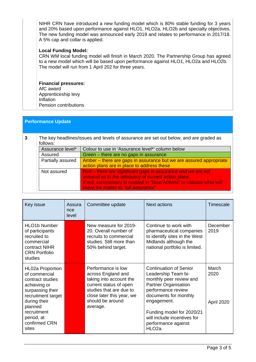NIHR CRN have introduced a new funding model which is 80% stable funding for 3 years and 20% based upon performance against HLO1, HLO2a, HLO2b and specialty objectives. The new funding model was announced early 2019 and relates to performance in 2017/18. A 5% cap and collar is applied.

#### **Local Funding Model:**

CRN WM local funding model will finish in March 2020. The Partnership Group has agreed to a new model which will be based upon performance against HLO1, HLO2a and HLO2b. The model will run from 1 April 202 for three years.

#### **Financial pressures:** AfC award

Apprenticeship levy Inflation Pension contributions

### **Performance Update**

| 3                                                                    | The key headlines/issues and levels of assurance are set out below, and are graded as |                                                                      |  |  |
|----------------------------------------------------------------------|---------------------------------------------------------------------------------------|----------------------------------------------------------------------|--|--|
|                                                                      | follows:                                                                              |                                                                      |  |  |
| Assurance level*<br>Colour to use in 'Assurance level*' column below |                                                                                       |                                                                      |  |  |
|                                                                      | Assured                                                                               | Green – there are no gaps in assurance                               |  |  |
|                                                                      | Partially assured                                                                     | Amber – there are gaps in assurance but we are assured appropriate   |  |  |
|                                                                      |                                                                                       | action plans are in place to address these                           |  |  |
|                                                                      | Not assured                                                                           | Red – there are significant gaps in assurance and we are not         |  |  |
|                                                                      |                                                                                       | assured as to the adequacy of current action plans                   |  |  |
|                                                                      |                                                                                       | If red, commentary is needed in "Next Actions" to indicate what will |  |  |
|                                                                      |                                                                                       | move the matter to "full assurance"                                  |  |  |

| Key issue                                                                                                                                                                                                | Assura<br>nce<br>level | <b>Next actions</b><br>Committee update                                                                                                                                               |                                                                                                                                                                                                                                                                                      | Timescale                   |
|----------------------------------------------------------------------------------------------------------------------------------------------------------------------------------------------------------|------------------------|---------------------------------------------------------------------------------------------------------------------------------------------------------------------------------------|--------------------------------------------------------------------------------------------------------------------------------------------------------------------------------------------------------------------------------------------------------------------------------------|-----------------------------|
| <b>HLO1b Number</b><br>of participants<br>recruited to<br>commercial<br>contract NIHR<br><b>CRN Portfolio</b><br>studies                                                                                 |                        | New measure for 2019-<br>20. Overall number of<br>recruits to commercial<br>studies. Still more than<br>50% behind target.                                                            | Continue to work with<br>pharmaceutical companies<br>to identify sites in the West<br>Midlands although the<br>national portfolio is limited.                                                                                                                                        | December<br>2019            |
| <b>HL02a Proportion</b><br>of commercial<br>contract studies<br>achieving or<br>surpassing their<br>recruitment target<br>during their<br>planned<br>recruitment<br>period, at<br>confirmed CRN<br>sites |                        | Performance is low<br>across England and<br>taking into account the<br>current status of open<br>studies that are due to<br>close later this year, we<br>should be around<br>average. | <b>Continuation of Senior</b><br>Leadership Team bi-<br>monthly peer review and<br><b>Partner Organisation</b><br>performance review<br>documents for monthly<br>engagement.<br>Funding model for 2020/21<br>will include incentives for<br>performance against<br>HLO <sub>2a</sub> | March<br>2020<br>April 2020 |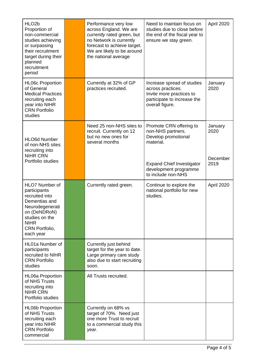| HLO <sub>2</sub> b<br>Proportion of<br>non-commercial<br>studies achieving<br>or surpassing<br>their recruitment<br>target during their<br>planned<br>recruitment<br>period |                                                                                                                                                                                                                                                                      | Performance very low<br>across England. We are<br>currently rated green, but<br>no Network is currently<br>forecast to achieve target.<br>We are likely to be around<br>the national average | Need to maintain focus on<br>studies due to close before<br>the end of the fiscal year to<br>ensure we stay green. | April 2020 |
|-----------------------------------------------------------------------------------------------------------------------------------------------------------------------------|----------------------------------------------------------------------------------------------------------------------------------------------------------------------------------------------------------------------------------------------------------------------|----------------------------------------------------------------------------------------------------------------------------------------------------------------------------------------------|--------------------------------------------------------------------------------------------------------------------|------------|
| <b>HL06c Proportion</b><br>of General<br><b>Medical Practices</b><br>recruiting each<br>year into NIHR<br><b>CRN Portfolio</b><br>studies                                   | Currently at 32% of GP<br>Increase spread of studies<br>practices recruited.<br>across practices.<br>Invite more practices to<br>participate to increase the<br>overall figure.                                                                                      |                                                                                                                                                                                              | January<br>2020                                                                                                    |            |
| <b>HLO6d Number</b><br>of non-NHS sites<br>recruiting into<br><b>NIHR CRN</b><br>Portfolio studies                                                                          | Need 25 non-NHS sites to<br>Promote CRN offering to<br>recruit. Currently on 12<br>non-NHS partners.<br>Develop promotional<br>but no new ones for<br>several months<br>material.<br><b>Expand Chief Investigator</b><br>development programme<br>to include non-NHS |                                                                                                                                                                                              | January<br>2020<br>December<br>2019                                                                                |            |
| <b>HLO7 Number of</b><br>participants<br>recruited into<br>Dementias and<br>Neurodegenerati<br>on (DeNDRoN)<br>studies on the<br><b>NIHR</b><br>CRN Portfolio,<br>each year |                                                                                                                                                                                                                                                                      | Currently rated green.                                                                                                                                                                       | Continue to explore the<br>national portfolio for new<br>studies.                                                  | April 2020 |
| HL01a Number of<br>participants<br>recruited to NIHR<br><b>CRN Portfolio</b><br>studies                                                                                     |                                                                                                                                                                                                                                                                      | Currently just behind<br>target for the year to date.<br>Large primary care study<br>also due to start recruiting<br>soon.                                                                   |                                                                                                                    |            |
| <b>HL06a Proportion</b><br>of NHS Trusts<br>recruiting into<br><b>NIHR CRN</b><br>Portfolio studies                                                                         |                                                                                                                                                                                                                                                                      | All Trusts recruited.                                                                                                                                                                        |                                                                                                                    |            |
| <b>HL06b Proportion</b><br>of NHS Trusts<br>recruiting each<br>year into NIHR<br><b>CRN Portfolio</b><br>commercial                                                         |                                                                                                                                                                                                                                                                      | Currently on 68% vs<br>target of 70%. Need just<br>one more Trust to recruit<br>to a commercial study this<br>year.                                                                          |                                                                                                                    |            |